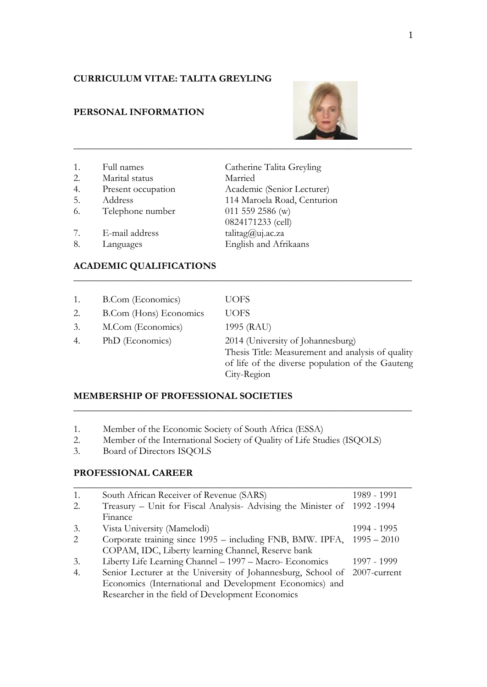## **CURRICULUM VITAE: TALITA GREYLING**

## **PERSONAL INFORMATION**



| 1. | Full names         | Catherine Talita Greyling   |
|----|--------------------|-----------------------------|
| 2. | Marital status     | Married                     |
| 4. | Present occupation | Academic (Senior Lecturer)  |
| 5. | Address            | 114 Maroela Road, Centurion |
| 6. | Telephone number   | 011 559 2586 (w)            |
|    |                    | 0824171233 (cell)           |
| 7. | E-mail address     | talitag@uj.ac.za            |
| 8. | Languages          | English and Afrikaans       |

# **ACADEMIC QUALIFICATIONS**

| 1. | <b>B.Com</b> (Economics)      | <b>UOFS</b>                                                                                                                                               |
|----|-------------------------------|-----------------------------------------------------------------------------------------------------------------------------------------------------------|
| 2. | <b>B.Com</b> (Hons) Economics | <b>UOFS</b>                                                                                                                                               |
| 3. | M.Com (Economics)             | 1995 (RAU)                                                                                                                                                |
| 4. | PhD (Economics)               | 2014 (University of Johannesburg)<br>Thesis Title: Measurement and analysis of quality<br>of life of the diverse population of the Gauteng<br>City-Region |

**\_\_\_\_\_\_\_\_\_\_\_\_\_\_\_\_\_\_\_\_\_\_\_\_\_\_\_\_\_\_\_\_\_\_\_\_\_\_\_\_\_\_\_\_\_\_\_\_\_\_\_\_\_\_\_\_\_\_\_\_\_\_\_\_\_\_\_\_\_**

**\_\_\_\_\_\_\_\_\_\_\_\_\_\_\_\_\_\_\_\_\_\_\_\_\_\_\_\_\_\_\_\_\_\_\_\_\_\_\_\_\_\_\_\_\_\_\_\_\_\_\_\_\_\_\_\_\_\_\_\_\_\_\_\_\_\_\_\_\_**

## **MEMBERSHIP OF PROFESSIONAL SOCIETIES**

- 1. Member of the Economic Society of South Africa (ESSA)
- 2. Member of the International Society of Quality of Life Studies (ISQOLS)<br>3. Board of Directors ISOOLS
- 3. Board of Directors ISQOLS

## **PROFESSIONAL CAREER**

| 1. | South African Receiver of Revenue (SARS)                                  | 1989 - 1991   |
|----|---------------------------------------------------------------------------|---------------|
| 2. | Treasury – Unit for Fiscal Analysis-Advising the Minister of 1992-1994    |               |
|    | Finance                                                                   |               |
| 3. | Vista University (Mamelodi)                                               | 1994 - 1995   |
| 2  | Corporate training since 1995 – including FNB, BMW. IPFA,                 | $1995 - 2010$ |
|    | COPAM, IDC, Liberty learning Channel, Reserve bank                        |               |
| 3. | Liberty Life Learning Channel - 1997 - Macro- Economics                   | 1997 - 1999   |
| 4. | Senior Lecturer at the University of Johannesburg, School of 2007-current |               |
|    | Economics (International and Development Economics) and                   |               |
|    | Researcher in the field of Development Economics                          |               |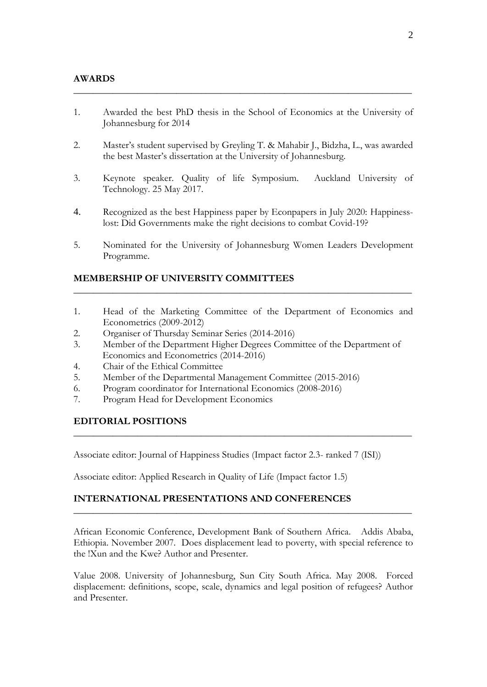1. Awarded the best PhD thesis in the School of Economics at the University of Johannesburg for 2014

**\_\_\_\_\_\_\_\_\_\_\_\_\_\_\_\_\_\_\_\_\_\_\_\_\_\_\_\_\_\_\_\_\_\_\_\_\_\_\_\_\_\_\_\_\_\_\_\_\_\_\_\_\_\_\_\_\_\_\_\_\_\_\_\_\_\_\_\_\_**

- 2. Master's student supervised by Greyling T. & Mahabir J., Bidzha, L., was awarded the best Master's dissertation at the University of Johannesburg.
- 3. Keynote speaker. Quality of life Symposium. Auckland University of Technology. 25 May 2017.
- 4. Recognized as the best Happiness paper by Econpapers in July 2020: Happinesslost: Did Governments make the right decisions to combat Covid-19?
- 5. Nominated for the University of Johannesburg Women Leaders Development Programme.

## **MEMBERSHIP OF UNIVERSITY COMMITTEES**

1. Head of the Marketing Committee of the Department of Economics and Econometrics (2009-2012)

**\_\_\_\_\_\_\_\_\_\_\_\_\_\_\_\_\_\_\_\_\_\_\_\_\_\_\_\_\_\_\_\_\_\_\_\_\_\_\_\_\_\_\_\_\_\_\_\_\_\_\_\_\_\_\_\_\_\_\_\_\_\_\_\_\_\_\_\_\_**

- 2. Organiser of Thursday Seminar Series (2014-2016)
- 3. Member of the Department Higher Degrees Committee of the Department of Economics and Econometrics (2014-2016)
- 4. Chair of the Ethical Committee
- 5. Member of the Departmental Management Committee (2015-2016)
- 6. Program coordinator for International Economics (2008-2016)
- 7. Program Head for Development Economics

## **EDITORIAL POSITIONS**

Associate editor: Journal of Happiness Studies (Impact factor 2.3- ranked 7 (ISI))

**\_\_\_\_\_\_\_\_\_\_\_\_\_\_\_\_\_\_\_\_\_\_\_\_\_\_\_\_\_\_\_\_\_\_\_\_\_\_\_\_\_\_\_\_\_\_\_\_\_\_\_\_\_\_\_\_\_\_\_\_\_\_\_\_\_\_\_\_\_**

Associate editor: Applied Research in Quality of Life (Impact factor 1.5)

## **INTERNATIONAL PRESENTATIONS AND CONFERENCES**

African Economic Conference, Development Bank of Southern Africa. Addis Ababa, Ethiopia. November 2007. Does displacement lead to poverty, with special reference to the !Xun and the Kwe? Author and Presenter.

**\_\_\_\_\_\_\_\_\_\_\_\_\_\_\_\_\_\_\_\_\_\_\_\_\_\_\_\_\_\_\_\_\_\_\_\_\_\_\_\_\_\_\_\_\_\_\_\_\_\_\_\_\_\_\_\_\_\_\_\_\_\_\_\_\_\_\_\_\_**

Value 2008. University of Johannesburg, Sun City South Africa. May 2008. Forced displacement: definitions, scope, scale, dynamics and legal position of refugees? Author and Presenter.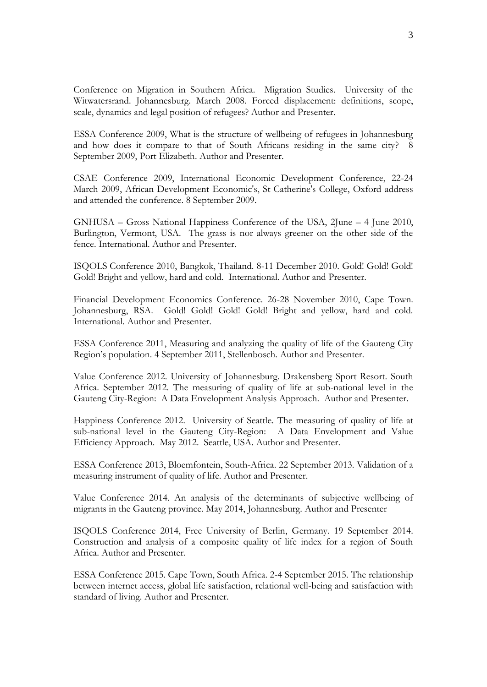Conference on Migration in Southern Africa. Migration Studies. University of the Witwatersrand. Johannesburg. March 2008. Forced displacement: definitions, scope, scale, dynamics and legal position of refugees? Author and Presenter.

ESSA Conference 2009, What is the structure of wellbeing of refugees in Johannesburg and how does it compare to that of South Africans residing in the same city? 8 September 2009, Port Elizabeth. Author and Presenter.

CSAE Conference 2009, International Economic Development Conference, 22-24 March 2009, African Development Economic's, St Catherine's College, Oxford address and attended the conference. 8 September 2009.

GNHUSA – Gross National Happiness Conference of the USA, 2June – 4 June 2010, Burlington, Vermont, USA. The grass is nor always greener on the other side of the fence. International. Author and Presenter.

ISQOLS Conference 2010, Bangkok, Thailand. 8-11 December 2010. Gold! Gold! Gold! Gold! Bright and yellow, hard and cold. International. Author and Presenter.

Financial Development Economics Conference. 26-28 November 2010, Cape Town. Johannesburg, RSA. Gold! Gold! Gold! Gold! Bright and yellow, hard and cold. International. Author and Presenter.

ESSA Conference 2011, Measuring and analyzing the quality of life of the Gauteng City Region's population. 4 September 2011, Stellenbosch. Author and Presenter.

Value Conference 2012. University of Johannesburg. Drakensberg Sport Resort. South Africa. September 2012. The measuring of quality of life at sub-national level in the Gauteng City-Region: A Data Envelopment Analysis Approach. Author and Presenter.

Happiness Conference 2012. University of Seattle. The measuring of quality of life at sub-national level in the Gauteng City-Region: A Data Envelopment and Value Efficiency Approach. May 2012. Seattle, USA. Author and Presenter.

ESSA Conference 2013, Bloemfontein, South-Africa. 22 September 2013. Validation of a measuring instrument of quality of life. Author and Presenter.

Value Conference 2014. An analysis of the determinants of subjective wellbeing of migrants in the Gauteng province. May 2014, Johannesburg. Author and Presenter

ISQOLS Conference 2014, Free University of Berlin, Germany. 19 September 2014. Construction and analysis of a composite quality of life index for a region of South Africa. Author and Presenter.

ESSA Conference 2015. Cape Town, South Africa. 2-4 September 2015. The relationship between internet access, global life satisfaction, relational well-being and satisfaction with standard of living. Author and Presenter.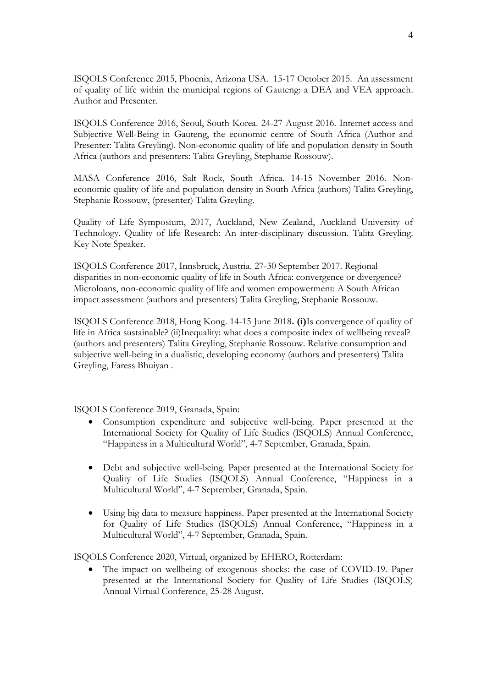ISQOLS Conference 2015, Phoenix, Arizona USA. 15-17 October 2015. An assessment of quality of life within the municipal regions of Gauteng: a DEA and VEA approach. Author and Presenter.

ISQOLS Conference 2016, Seoul, South Korea. 24-27 August 2016. Internet access and Subjective Well-Being in Gauteng, the economic centre of South Africa (Author and Presenter: Talita Greyling). Non-economic quality of life and population density in South Africa (authors and presenters: Talita Greyling, Stephanie Rossouw).

MASA Conference 2016, Salt Rock, South Africa. 14-15 November 2016. Noneconomic quality of life and population density in South Africa (authors) Talita Greyling, Stephanie Rossouw, (presenter) Talita Greyling.

Quality of Life Symposium, 2017, Auckland, New Zealand, Auckland University of Technology. Quality of life Research: An inter-disciplinary discussion. Talita Greyling. Key Note Speaker.

ISQOLS Conference 2017, Innsbruck, Austria. 27-30 September 2017. Regional disparities in non-economic quality of life in South Africa: convergence or divergence? Microloans, non-economic quality of life and women empowerment: A South African impact assessment (authors and presenters) Talita Greyling, Stephanie Rossouw.

ISQOLS Conference 2018, Hong Kong. 14-15 June 2018**. (i)**Is convergence of quality of life in Africa sustainable? (ii)Inequality: what does a composite index of wellbeing reveal? (authors and presenters) Talita Greyling, Stephanie Rossouw. Relative consumption and subjective well-being in a dualistic, developing economy (authors and presenters) Talita Greyling, Faress Bhuiyan .

ISQOLS Conference 2019, Granada, Spain:

- Consumption expenditure and subjective well-being. Paper presented at the International Society for Quality of Life Studies (ISQOLS) Annual Conference, "Happiness in a Multicultural World", 4-7 September, Granada, Spain.
- Debt and subjective well-being. Paper presented at the International Society for Quality of Life Studies (ISQOLS) Annual Conference, "Happiness in a Multicultural World", 4-7 September, Granada, Spain.
- Using big data to measure happiness. Paper presented at the International Society for Quality of Life Studies (ISQOLS) Annual Conference, "Happiness in a Multicultural World", 4-7 September, Granada, Spain.

ISQOLS Conference 2020, Virtual, organized by EHERO, Rotterdam:

 The impact on wellbeing of exogenous shocks: the case of COVID-19. Paper presented at the International Society for Quality of Life Studies (ISQOLS) Annual Virtual Conference, 25-28 August.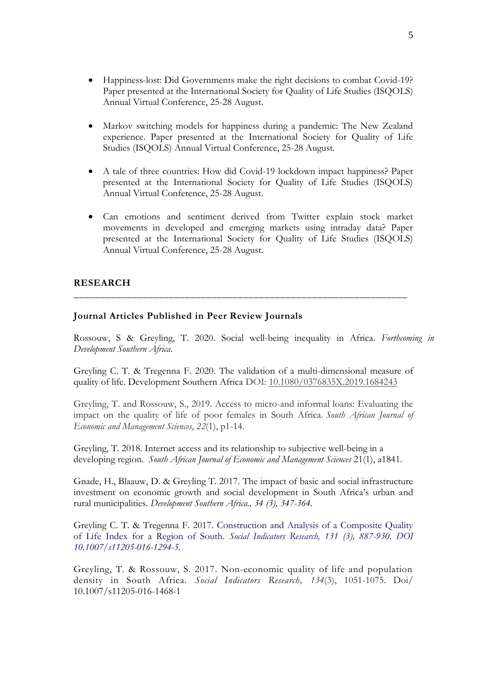- Happiness-lost: Did Governments make the right decisions to combat Covid-19? Paper presented at the International Society for Quality of Life Studies (ISQOLS) Annual Virtual Conference, 25-28 August.
- Markov switching models for happiness during a pandemic: The New Zealand experience. Paper presented at the International Society for Quality of Life Studies (ISQOLS) Annual Virtual Conference, 25-28 August.
- A tale of three countries: How did Covid-19 lockdown impact happiness? Paper presented at the International Society for Quality of Life Studies (ISQOLS) Annual Virtual Conference, 25-28 August.
- Can emotions and sentiment derived from Twitter explain stock market movements in developed and emerging markets using intraday data? Paper presented at the International Society for Quality of Life Studies (ISQOLS) Annual Virtual Conference, 25-28 August.

## **RESEARCH**

## **Journal Articles Published in Peer Review Journals**

Rossouw, S & Greyling, T. 2020. Social well-being inequality in Africa. *Forthcoming in Development Southern Africa*.

Greyling C. T. & Tregenna F. 2020. The validation of a multi-dimensional measure of quality of life. Development Southern Africa DOI: [10.1080/0376835X.2019.1684243](https://doi.org/10.1080/0376835X.2019.1684243)

**\_\_\_\_\_\_\_\_\_\_\_\_\_\_\_\_\_\_\_\_\_\_\_\_\_\_\_\_\_\_\_\_\_\_\_\_\_\_\_\_\_\_\_\_\_\_\_\_\_\_\_\_\_\_\_\_\_\_\_\_\_\_\_**

Greyling, T. and Rossouw, S., 2019. Access to micro-and informal loans: Evaluating the impact on the quality of life of poor females in South Africa. *South African Journal of Economic and Management Sciences*, *22*(1), p1-14.

Greyling, T. 2018. Internet access and its relationship to subjective well-being in a developing region. *South African Journal of Economic and Management Sciences* 21(1), a1841.

Gnade, H., Blaauw, D. & Greyling T. 2017. The impact of basic and social infrastructure investment on economic growth and social development in South Africa's urban and rural municipalities. *Development Southern Africa., 34 (3), 347-364.*

Greyling C. T. & Tregenna F. 2017. Construction and Analysis of a Composite Quality of Life Index for a Region of South. *Social Indicators Research, 131 (3), 887-930. DOI 10.1007/s11205-016-1294-5.*

Greyling, T. & Rossouw, S. 2017. Non-economic quality of life and population density in South Africa. *Social Indicators Research, 134*(3), 1051-1075. Doi/ 10.1007/s11205-016-1468-1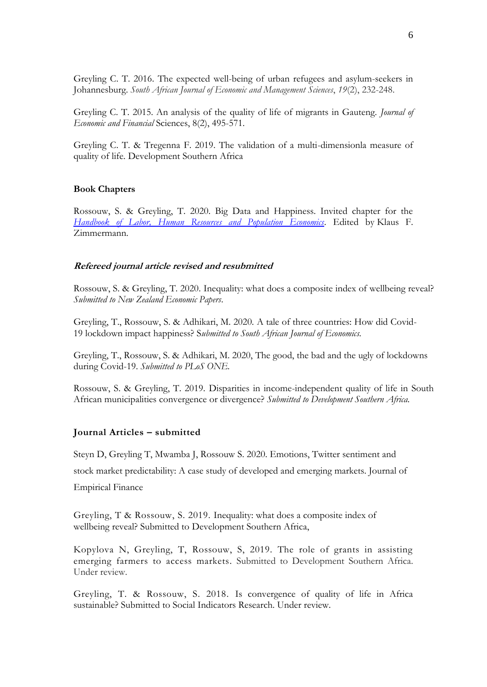Greyling C. T. 2016. The expected well-being of urban refugees and asylum-seekers in Johannesburg. *South African Journal of Economic and Management Sciences*, *19*(2), 232-248.

Greyling C. T. 2015. An analysis of the quality of life of migrants in Gauteng. *Journal of Economic and Financial* Sciences, 8(2), 495-571.

Greyling C. T. & Tregenna F. 2019. The validation of a multi-dimensionla measure of quality of life. Development Southern Africa

#### **Book Chapters**

Rossouw, S. & Greyling, T. 2020. Big Data and Happiness. Invited chapter for the *[Handbook of Labor, Human Resources and Population Economics](https://meteor.springer.com/project/dashboard.jsf?id=595&tab=About&auth_user=502024&auth_key=f495532012aaf7f59ed6223c91a88f91)*. Edited by Klaus F. Zimmermann.

#### **Refereed journal article revised and resubmitted**

Rossouw, S. & Greyling, T. 2020. Inequality: what does a composite index of wellbeing reveal? *Submitted to New Zealand Economic Papers*.

Greyling, T., Rossouw, S. & Adhikari, M. 2020. A tale of three countries: How did Covid-19 lockdown impact happiness? S*ubmitted to South African Journal of Economics.*

Greyling, T., Rossouw, S. & Adhikari, M. 2020, The good, the bad and the ugly of lockdowns during Covid-19. *Submitted to PLoS ONE.*

Rossouw, S. & Greyling, T. 2019. Disparities in income-independent quality of life in South African municipalities convergence or divergence? *Submitted to Development Southern Africa.*

## **Journal Articles – submitted**

Steyn D, Greyling T, Mwamba J, Rossouw S. 2020. Emotions, Twitter sentiment and

stock market predictability: A case study of developed and emerging markets. Journal of

Empirical Finance

Greyling, T & Rossouw, S. 2019. Inequality: what does a composite index of wellbeing reveal? Submitted to Development Southern Africa,

Kopylova N, Greyling, T, Rossouw, S, 2019. The role of grants in assisting emerging farmers to access markets. Submitted to Development Southern Africa. Under review.

Greyling, T. & Rossouw, S. 2018. Is convergence of quality of life in Africa sustainable? Submitted to Social Indicators Research. Under review.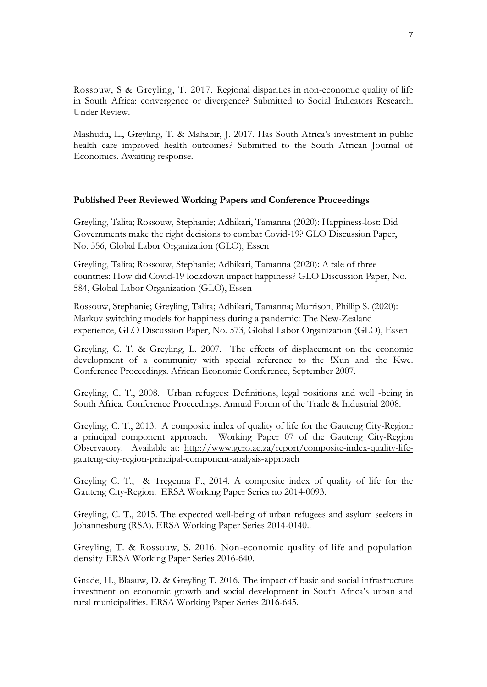Rossouw, S & Greyling, T. 2017. Regional disparities in non-economic quality of life in South Africa: convergence or divergence? Submitted to Social Indicators Research. Under Review.

Mashudu, L., Greyling, T. & Mahabir, J. 2017. Has South Africa's investment in public health care improved health outcomes? Submitted to the South African Journal of Economics. Awaiting response.

### **Published Peer Reviewed Working Papers and Conference Proceedings**

Greyling, Talita; Rossouw, Stephanie; Adhikari, Tamanna (2020): Happiness-lost: Did Governments make the right decisions to combat Covid-19? GLO Discussion Paper, No. 556, Global Labor Organization (GLO), Essen

Greyling, Talita; Rossouw, Stephanie; Adhikari, Tamanna (2020): A tale of three countries: How did Covid-19 lockdown impact happiness? GLO Discussion Paper, No. 584, Global Labor Organization (GLO), Essen

Rossouw, Stephanie; Greyling, Talita; Adhikari, Tamanna; Morrison, Phillip S. (2020): Markov switching models for happiness during a pandemic: The New-Zealand experience, GLO Discussion Paper, No. 573, Global Labor Organization (GLO), Essen

Greyling, C. T. & Greyling, L. 2007. [The effects of displacement on the economic](http://scholar.google.co.za/citations?view_op=view_citation&hl=en&user=ox2Jv6oAAAAJ&citation_for_view=ox2Jv6oAAAAJ:9yKSN-GCB0IC)  [development of a community with special reference to the](http://scholar.google.co.za/citations?view_op=view_citation&hl=en&user=ox2Jv6oAAAAJ&citation_for_view=ox2Jv6oAAAAJ:9yKSN-GCB0IC) !Xun and the Kwe. Conference Proceedings. African Economic Conference, September 2007.

Greyling, C. T., 2008. [Urban refugees: Definitions, legal positions and well -being in](http://scholar.google.co.za/citations?view_op=view_citation&hl=en&user=ox2Jv6oAAAAJ&citation_for_view=ox2Jv6oAAAAJ:u5HHmVD_uO8C)  [South Africa.](http://scholar.google.co.za/citations?view_op=view_citation&hl=en&user=ox2Jv6oAAAAJ&citation_for_view=ox2Jv6oAAAAJ:u5HHmVD_uO8C) Conference Proceedings. Annual Forum of the Trade & Industrial 2008.

Greyling, C. T., 2013. A composite index of quality of life for the Gauteng City-Region: a principal component approach. Working Paper 07 of the Gauteng City-Region Observatory. Available at: [http://www.gcro.ac.za/report/composite-index-quality-life](http://www.gcro.ac.za/report/composite-index-quality-life-gauteng-city-region-principal-component-analysis-approach)[gauteng-city-region-principal-component-analysis-approach](http://www.gcro.ac.za/report/composite-index-quality-life-gauteng-city-region-principal-component-analysis-approach)

Greyling C. T., & Tregenna F., 2014. A composite index of quality of life for the Gauteng City-Region. ERSA Working Paper Series no 2014-0093.

Greyling, C. T., 2015. The expected well-being of urban refugees and asylum seekers in Johannesburg (RSA). ERSA Working Paper Series 2014-0140..

Greyling, T. & Rossouw, S. 2016. Non-economic quality of life and population density ERSA Working Paper Series 2016-640.

Gnade, H., Blaauw, D. & Greyling T. 2016. The impact of basic and social infrastructure investment on economic growth and social development in South Africa's urban and rural municipalities. ERSA Working Paper Series 2016-645.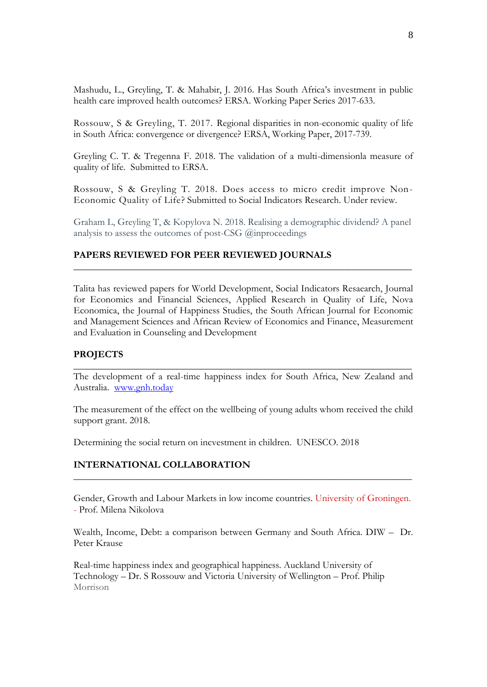Mashudu, L., Greyling, T. & Mahabir, J. 2016. Has South Africa's investment in public health care improved health outcomes? ERSA. Working Paper Series 2017-633.

Rossouw, S & Greyling, T. 2017. Regional disparities in non-economic quality of life in South Africa: convergence or divergence? ERSA, Working Paper, 2017-739.

Greyling C. T. & Tregenna F. 2018. The validation of a multi-dimensionla measure of quality of life. Submitted to ERSA.

Rossouw, S & Greyling T. 2018. Does access to micro credit improve Non-Economic Quality of Life? Submitted to Social Indicators Research. Under review.

Graham L, Greyling T, & Kopylova N. 2018. Realising a demographic dividend? A panel analysis to assess the outcomes of post-CSG @inproceedings

**\_\_\_\_\_\_\_\_\_\_\_\_\_\_\_\_\_\_\_\_\_\_\_\_\_\_\_\_\_\_\_\_\_\_\_\_\_\_\_\_\_\_\_\_\_\_\_\_\_\_\_\_\_\_\_\_\_\_\_\_\_\_\_\_\_\_\_\_\_**

## **PAPERS REVIEWED FOR PEER REVIEWED JOURNALS**

Talita has reviewed papers for World Development, Social Indicators Resaearch, Journal for Economics and Financial Sciences, Applied Research in Quality of Life, Nova Economica, the Journal of Happiness Studies, the South African Journal for Economic and Management Sciences and African Review of Economics and Finance, Measurement and Evaluation in Counseling and Development

#### **PROJECTS**

The development of a real-time happiness index for South Africa, New Zealand and Australia. [www.gnh.today](http://www.gnh.today/)

**\_\_\_\_\_\_\_\_\_\_\_\_\_\_\_\_\_\_\_\_\_\_\_\_\_\_\_\_\_\_\_\_\_\_\_\_\_\_\_\_\_\_\_\_\_\_\_\_\_\_\_\_\_\_\_\_\_\_\_\_\_\_\_\_\_\_\_\_\_**

The measurement of the effect on the wellbeing of young adults whom received the child support grant. 2018.

Determining the social return on incvestment in children. UNESCO. 2018

## **INTERNATIONAL COLLABORATION**

Gender, Growth and Labour Markets in low income countries. University of Groningen. - Prof. Milena Nikolov[a](http://www.milena-nikolova.com/)

**\_\_\_\_\_\_\_\_\_\_\_\_\_\_\_\_\_\_\_\_\_\_\_\_\_\_\_\_\_\_\_\_\_\_\_\_\_\_\_\_\_\_\_\_\_\_\_\_\_\_\_\_\_\_\_\_\_\_\_\_\_\_\_\_\_\_\_\_\_**

Wealth, Income, Debt: a comparison between Germany and South Africa. DIW – Dr. Peter Krause

Real-time happiness index and geographical happiness. Auckland University of Technology – Dr. S Rossouw and Victoria University of Wellington – Prof. Philip Morrison